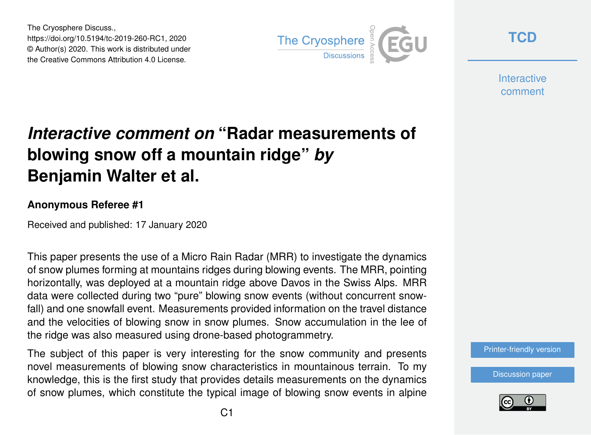The Cryosphere Discuss., https://doi.org/10.5194/tc-2019-260-RC1, 2020 © Author(s) 2020. This work is distributed under the Creative Commons Attribution 4.0 License.



**[TCD](https://www.the-cryosphere-discuss.net/)**

**Interactive** comment

# *Interactive comment on* **"Radar measurements of blowing snow off a mountain ridge"** *by* **Benjamin Walter et al.**

#### **Anonymous Referee #1**

Received and published: 17 January 2020

This paper presents the use of a Micro Rain Radar (MRR) to investigate the dynamics of snow plumes forming at mountains ridges during blowing events. The MRR, pointing horizontally, was deployed at a mountain ridge above Davos in the Swiss Alps. MRR data were collected during two "pure" blowing snow events (without concurrent snowfall) and one snowfall event. Measurements provided information on the travel distance and the velocities of blowing snow in snow plumes. Snow accumulation in the lee of the ridge was also measured using drone-based photogrammetry.

The subject of this paper is very interesting for the snow community and presents novel measurements of blowing snow characteristics in mountainous terrain. To my knowledge, this is the first study that provides details measurements on the dynamics of snow plumes, which constitute the typical image of blowing snow events in alpine



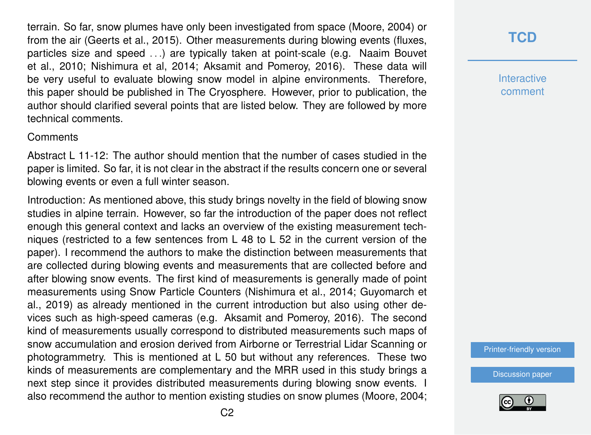terrain. So far, snow plumes have only been investigated from space (Moore, 2004) or from the air (Geerts et al., 2015). Other measurements during blowing events (fluxes, particles size and speed . . .) are typically taken at point-scale (e.g. Naaim Bouvet et al., 2010; Nishimura et al, 2014; Aksamit and Pomeroy, 2016). These data will be very useful to evaluate blowing snow model in alpine environments. Therefore, this paper should be published in The Cryosphere. However, prior to publication, the author should clarified several points that are listed below. They are followed by more technical comments.

#### **Comments**

Abstract L 11-12: The author should mention that the number of cases studied in the paper is limited. So far, it is not clear in the abstract if the results concern one or several blowing events or even a full winter season.

Introduction: As mentioned above, this study brings novelty in the field of blowing snow studies in alpine terrain. However, so far the introduction of the paper does not reflect enough this general context and lacks an overview of the existing measurement techniques (restricted to a few sentences from L 48 to L 52 in the current version of the paper). I recommend the authors to make the distinction between measurements that are collected during blowing events and measurements that are collected before and after blowing snow events. The first kind of measurements is generally made of point measurements using Snow Particle Counters (Nishimura et al., 2014; Guyomarch et al., 2019) as already mentioned in the current introduction but also using other devices such as high-speed cameras (e.g. Aksamit and Pomeroy, 2016). The second kind of measurements usually correspond to distributed measurements such maps of snow accumulation and erosion derived from Airborne or Terrestrial Lidar Scanning or photogrammetry. This is mentioned at L 50 but without any references. These two kinds of measurements are complementary and the MRR used in this study brings a next step since it provides distributed measurements during blowing snow events. I also recommend the author to mention existing studies on snow plumes (Moore, 2004;

### **[TCD](https://www.the-cryosphere-discuss.net/)**

**Interactive** comment

[Printer-friendly version](https://www.the-cryosphere-discuss.net/tc-2019-260/tc-2019-260-RC1-print.pdf)

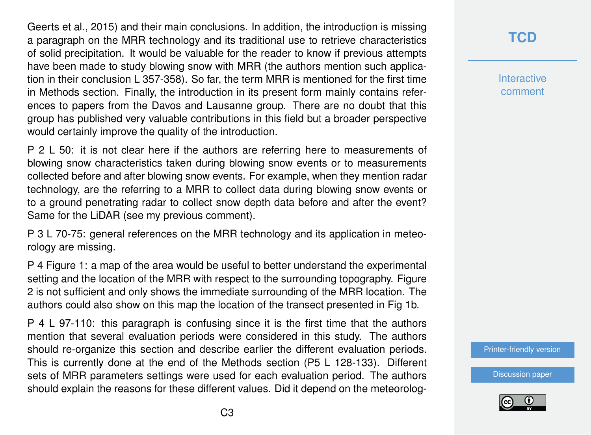Geerts et al., 2015) and their main conclusions. In addition, the introduction is missing a paragraph on the MRR technology and its traditional use to retrieve characteristics of solid precipitation. It would be valuable for the reader to know if previous attempts have been made to study blowing snow with MRR (the authors mention such application in their conclusion L 357-358). So far, the term MRR is mentioned for the first time in Methods section. Finally, the introduction in its present form mainly contains references to papers from the Davos and Lausanne group. There are no doubt that this group has published very valuable contributions in this field but a broader perspective would certainly improve the quality of the introduction.

P 2 L 50: it is not clear here if the authors are referring here to measurements of blowing snow characteristics taken during blowing snow events or to measurements collected before and after blowing snow events. For example, when they mention radar technology, are the referring to a MRR to collect data during blowing snow events or to a ground penetrating radar to collect snow depth data before and after the event? Same for the LiDAR (see my previous comment).

P 3 L 70-75: general references on the MRR technology and its application in meteorology are missing.

P 4 Figure 1: a map of the area would be useful to better understand the experimental setting and the location of the MRR with respect to the surrounding topography. Figure 2 is not sufficient and only shows the immediate surrounding of the MRR location. The authors could also show on this map the location of the transect presented in Fig 1b.

P 4 L 97-110: this paragraph is confusing since it is the first time that the authors mention that several evaluation periods were considered in this study. The authors should re-organize this section and describe earlier the different evaluation periods. This is currently done at the end of the Methods section (P5 L 128-133). Different sets of MRR parameters settings were used for each evaluation period. The authors should explain the reasons for these different values. Did it depend on the meteorolog-

### **[TCD](https://www.the-cryosphere-discuss.net/)**

**Interactive** comment

[Printer-friendly version](https://www.the-cryosphere-discuss.net/tc-2019-260/tc-2019-260-RC1-print.pdf)

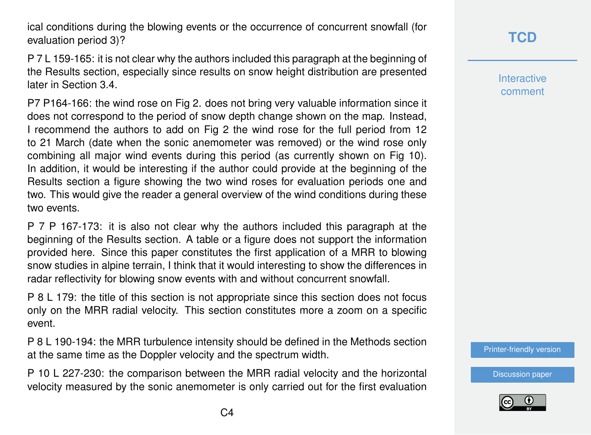ical conditions during the blowing events or the occurrence of concurrent snowfall (for evaluation period 3)?

P 7 L 159-165: it is not clear why the authors included this paragraph at the beginning of the Results section, especially since results on snow height distribution are presented later in Section 3.4.

P7 P164-166: the wind rose on Fig 2. does not bring very valuable information since it does not correspond to the period of snow depth change shown on the map. Instead, I recommend the authors to add on Fig 2 the wind rose for the full period from 12 to 21 March (date when the sonic anemometer was removed) or the wind rose only combining all major wind events during this period (as currently shown on Fig 10). In addition, it would be interesting if the author could provide at the beginning of the Results section a figure showing the two wind roses for evaluation periods one and two. This would give the reader a general overview of the wind conditions during these two events.

P 7 P 167-173: it is also not clear why the authors included this paragraph at the beginning of the Results section. A table or a figure does not support the information provided here. Since this paper constitutes the first application of a MRR to blowing snow studies in alpine terrain, I think that it would interesting to show the differences in radar reflectivity for blowing snow events with and without concurrent snowfall.

P 8 L 179: the title of this section is not appropriate since this section does not focus only on the MRR radial velocity. This section constitutes more a zoom on a specific event.

P 8 L 190-194: the MRR turbulence intensity should be defined in the Methods section at the same time as the Doppler velocity and the spectrum width.

P 10 L 227-230: the comparison between the MRR radial velocity and the horizontal velocity measured by the sonic anemometer is only carried out for the first evaluation **Interactive** comment

[Printer-friendly version](https://www.the-cryosphere-discuss.net/tc-2019-260/tc-2019-260-RC1-print.pdf)

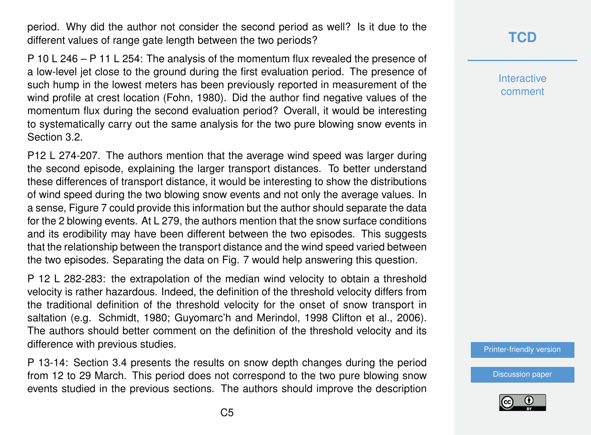period. Why did the author not consider the second period as well? Is it due to the different values of range gate length between the two periods?

P 10 L 246 – P 11 L 254: The analysis of the momentum flux revealed the presence of a low-level jet close to the ground during the first evaluation period. The presence of such hump in the lowest meters has been previously reported in measurement of the wind profile at crest location (Fohn, 1980). Did the author find negative values of the momentum flux during the second evaluation period? Overall, it would be interesting to systematically carry out the same analysis for the two pure blowing snow events in Section 3.2.

P12 L 274-207. The authors mention that the average wind speed was larger during the second episode, explaining the larger transport distances. To better understand these differences of transport distance, it would be interesting to show the distributions of wind speed during the two blowing snow events and not only the average values. In a sense, Figure 7 could provide this information but the author should separate the data for the 2 blowing events. At L 279, the authors mention that the snow surface conditions and its erodibility may have been different between the two episodes. This suggests that the relationship between the transport distance and the wind speed varied between the two episodes. Separating the data on Fig. 7 would help answering this question.

P 12 L 282-283: the extrapolation of the median wind velocity to obtain a threshold velocity is rather hazardous. Indeed, the definition of the threshold velocity differs from the traditional definition of the threshold velocity for the onset of snow transport in saltation (e.g. Schmidt, 1980; Guyomarc'h and Merindol, 1998 Clifton et al., 2006). The authors should better comment on the definition of the threshold velocity and its difference with previous studies.

P 13-14: Section 3.4 presents the results on snow depth changes during the period from 12 to 29 March. This period does not correspond to the two pure blowing snow events studied in the previous sections. The authors should improve the description

## **[TCD](https://www.the-cryosphere-discuss.net/)**

**Interactive** comment

[Printer-friendly version](https://www.the-cryosphere-discuss.net/tc-2019-260/tc-2019-260-RC1-print.pdf)

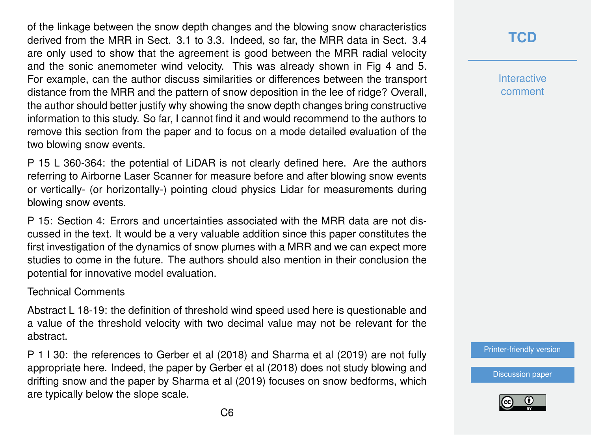of the linkage between the snow depth changes and the blowing snow characteristics derived from the MRR in Sect. 3.1 to 3.3. Indeed, so far, the MRR data in Sect. 3.4 are only used to show that the agreement is good between the MRR radial velocity and the sonic anemometer wind velocity. This was already shown in Fig 4 and 5. For example, can the author discuss similarities or differences between the transport distance from the MRR and the pattern of snow deposition in the lee of ridge? Overall, the author should better justify why showing the snow depth changes bring constructive information to this study. So far, I cannot find it and would recommend to the authors to remove this section from the paper and to focus on a mode detailed evaluation of the two blowing snow events.

P 15 L 360-364: the potential of LiDAR is not clearly defined here. Are the authors referring to Airborne Laser Scanner for measure before and after blowing snow events or vertically- (or horizontally-) pointing cloud physics Lidar for measurements during blowing snow events.

P 15: Section 4: Errors and uncertainties associated with the MRR data are not discussed in the text. It would be a very valuable addition since this paper constitutes the first investigation of the dynamics of snow plumes with a MRR and we can expect more studies to come in the future. The authors should also mention in their conclusion the potential for innovative model evaluation.

#### Technical Comments

Abstract L 18-19: the definition of threshold wind speed used here is questionable and a value of the threshold velocity with two decimal value may not be relevant for the abstract.

P 1 l 30: the references to Gerber et al (2018) and Sharma et al (2019) are not fully appropriate here. Indeed, the paper by Gerber et al (2018) does not study blowing and drifting snow and the paper by Sharma et al (2019) focuses on snow bedforms, which are typically below the slope scale.

### **[TCD](https://www.the-cryosphere-discuss.net/)**

**Interactive** comment

[Printer-friendly version](https://www.the-cryosphere-discuss.net/tc-2019-260/tc-2019-260-RC1-print.pdf)

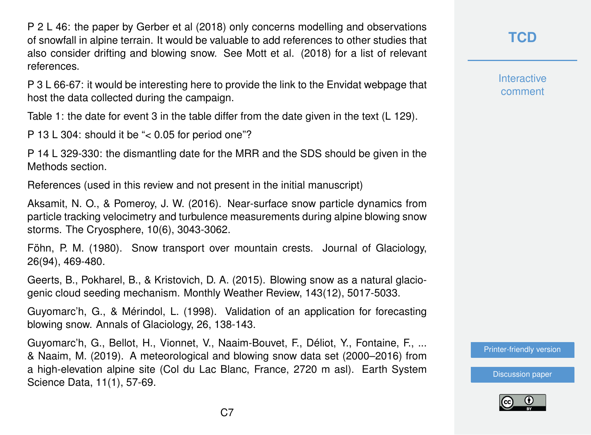P 2 L 46: the paper by Gerber et al (2018) only concerns modelling and observations of snowfall in alpine terrain. It would be valuable to add references to other studies that also consider drifting and blowing snow. See Mott et al. (2018) for a list of relevant references.

P 3 L 66-67: it would be interesting here to provide the link to the Envidat webpage that host the data collected during the campaign.

Table 1: the date for event 3 in the table differ from the date given in the text (L 129).

P 13 L 304: should it be "< 0.05 for period one"?

P 14 L 329-330: the dismantling date for the MRR and the SDS should be given in the Methods section.

References (used in this review and not present in the initial manuscript)

Aksamit, N. O., & Pomeroy, J. W. (2016). Near-surface snow particle dynamics from particle tracking velocimetry and turbulence measurements during alpine blowing snow storms. The Cryosphere, 10(6), 3043-3062.

Föhn, P. M. (1980). Snow transport over mountain crests. Journal of Glaciology, 26(94), 469-480.

Geerts, B., Pokharel, B., & Kristovich, D. A. (2015). Blowing snow as a natural glaciogenic cloud seeding mechanism. Monthly Weather Review, 143(12), 5017-5033.

Guyomarc'h, G., & Mérindol, L. (1998). Validation of an application for forecasting blowing snow. Annals of Glaciology, 26, 138-143.

Guyomarc'h, G., Bellot, H., Vionnet, V., Naaim-Bouvet, F., Déliot, Y., Fontaine, F., ... & Naaim, M. (2019). A meteorological and blowing snow data set (2000–2016) from a high-elevation alpine site (Col du Lac Blanc, France, 2720 m asl). Earth System Science Data, 11(1), 57-69.

**[TCD](https://www.the-cryosphere-discuss.net/)**

**Interactive** comment

[Printer-friendly version](https://www.the-cryosphere-discuss.net/tc-2019-260/tc-2019-260-RC1-print.pdf)